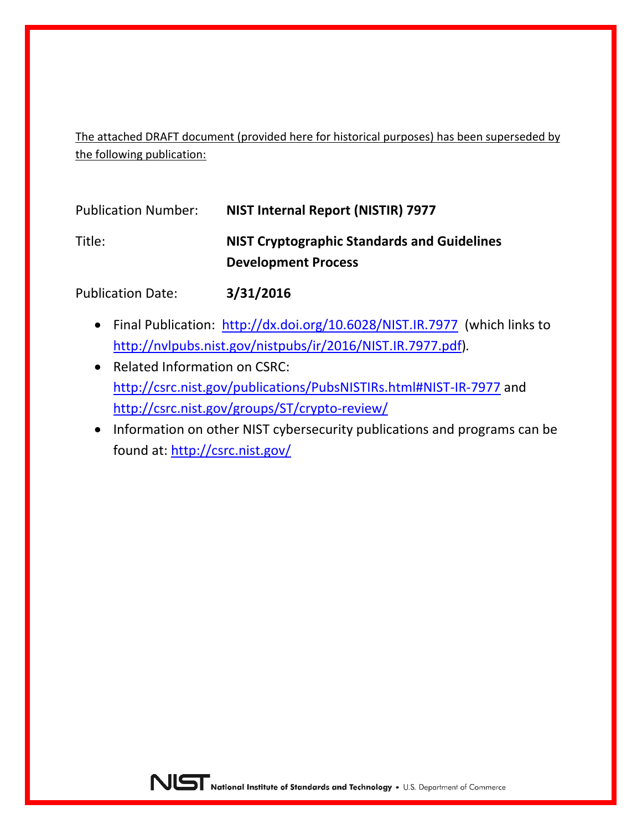The attached DRAFT document (provided here for historical purposes) has been superseded by the following publication:

| <b>Publication Number:</b> | NIST Internal Report (NISTIR) 7977                                               |
|----------------------------|----------------------------------------------------------------------------------|
| Title:                     | <b>NIST Cryptographic Standards and Guidelines</b><br><b>Development Process</b> |

Publication Date: **3/31/2016**

- Final Publication: <http://dx.doi.org/10.6028/NIST.IR.7977> (which links to [http://nvlpubs.nist.gov/nistpubs/ir/2016/NIST.IR.7977.pdf\)](http://nvlpubs.nist.gov/nistpubs/ir/2016/NIST.IR.7977.pdf)*.*
- Related Information on CSRC: <http://csrc.nist.gov/publications/PubsNISTIRs.html#NIST-IR-7977> and <http://csrc.nist.gov/groups/ST/crypto-review/>
- Information on other NIST cybersecurity publications and programs can be found at:<http://csrc.nist.gov/>

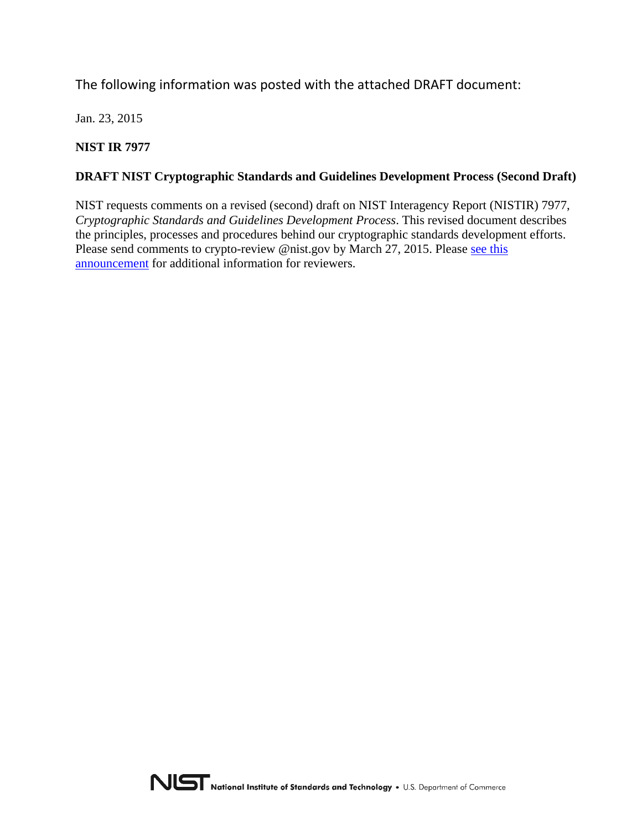The following information was posted with the attached DRAFT document:

Jan. 23, 2015

**NIST IR 7977** 

#### **DRAFT NIST Cryptographic Standards and Guidelines Development Process (Second Draft)**

NIST requests comments on a revised (second) draft on NIST Interagency Report (NISTIR) 7977, *Cryptographic Standards and Guidelines Development Process*. This revised document describes the principles, processes and procedures behind our cryptographic standards development efforts. Please send comments to crypto-review @nist.gov by March 27, 2015. Please see this [announcement](http://csrc.nist.gov/groups/ST/crypto-review/process.html) for additional information for reviewers.

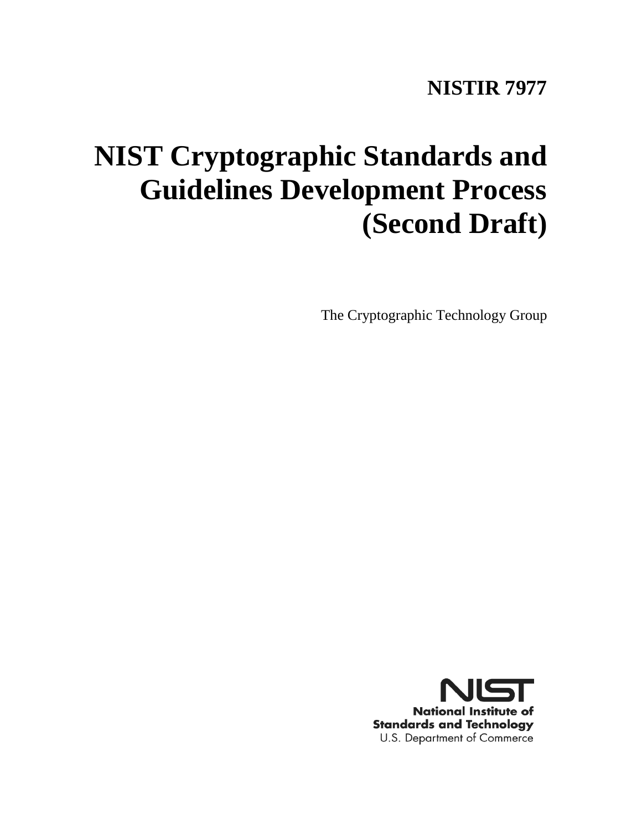# **NISTIR 7977**

# **NIST Cryptographic Standards and Guidelines Development Process (Second Draft)**

The Cryptographic Technology Group

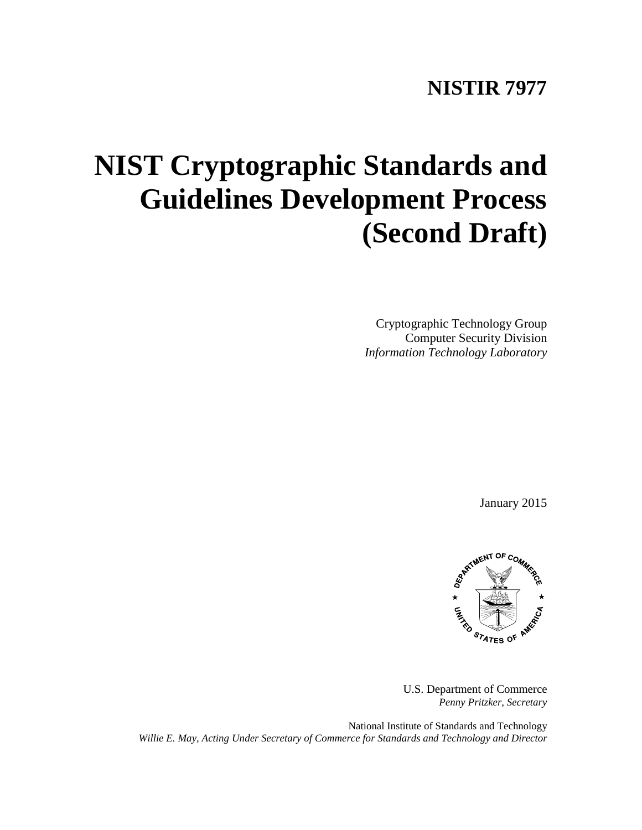# **NISTIR 7977**

# **NIST Cryptographic Standards and Guidelines Development Process (Second Draft)**

Cryptographic Technology Group Computer Security Division *Information Technology Laboratory*

January 2015



U.S. Department of Commerce *Penny Pritzker, Secretary*

National Institute of Standards and Technology *Willie E. May, Acting Under Secretary of Commerce for Standards and Technology and Director*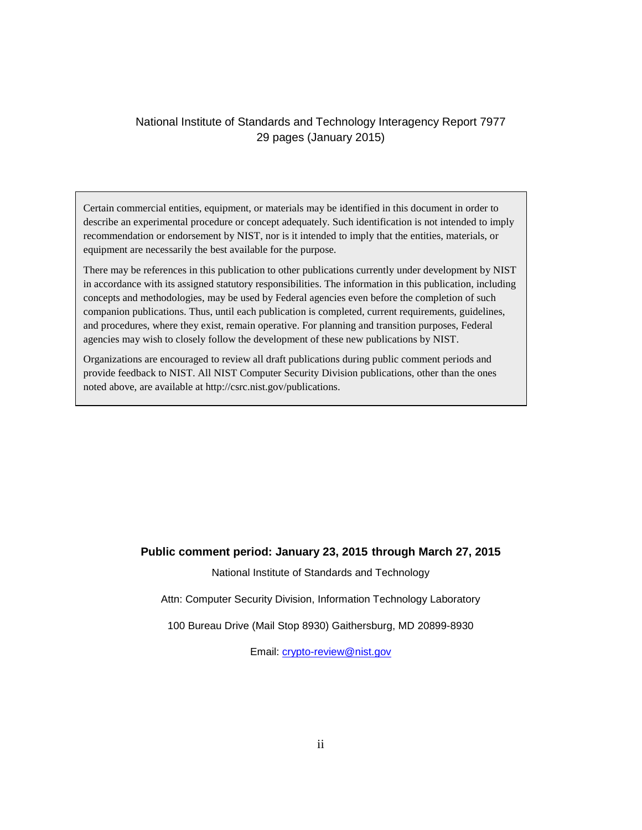#### National Institute of Standards and Technology Interagency Report 7977 29 pages (January 2015)

 describe an experimental procedure or concept adequately. Such identification is not intended to imply Certain commercial entities, equipment, or materials may be identified in this document in order to recommendation or endorsement by NIST, nor is it intended to imply that the entities, materials, or equipment are necessarily the best available for the purpose.

There may be references in this publication to other publications currently under development by NIST in accordance with its assigned statutory responsibilities. The information in this publication, including concepts and methodologies, may be used by Federal agencies even before the completion of such companion publications. Thus, until each publication is completed, current requirements, guidelines, and procedures, where they exist, remain operative. For planning and transition purposes, Federal agencies may wish to closely follow the development of these new publications by NIST.

Organizations are encouraged to review all draft publications during public comment periods and provide feedback to NIST. All NIST Computer Security Division publications, other than the ones noted above, are available at http://csrc.nist.gov/publications.

#### **Public comment period: January 23, 2015 through March 27, 2015**

National Institute of Standards and Technology

Attn: Computer Security Division, Information Technology Laboratory

100 Bureau Drive (Mail Stop 8930) Gaithersburg, MD 20899-8930

Email: [crypto-review@nist.gov](mailto:crypto-review@nist.gov)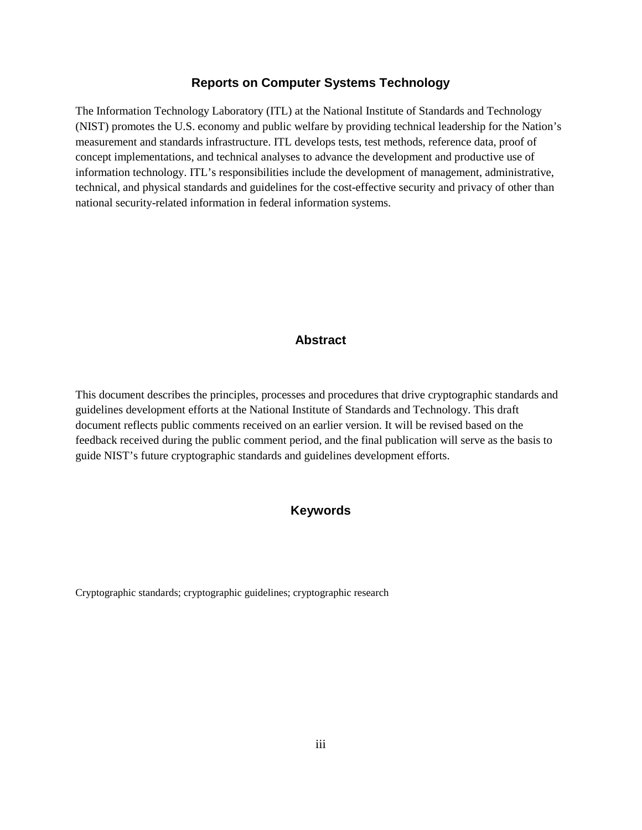#### **Reports on Computer Systems Technology**

The Information Technology Laboratory (ITL) at the National Institute of Standards and Technology (NIST) promotes the U.S. economy and public welfare by providing technical leadership for the Nation's measurement and standards infrastructure. ITL develops tests, test methods, reference data, proof of concept implementations, and technical analyses to advance the development and productive use of information technology. ITL's responsibilities include the development of management, administrative, technical, and physical standards and guidelines for the cost-effective security and privacy of other than national security-related information in federal information systems.

#### **Abstract**

This document describes the principles, processes and procedures that drive cryptographic standards and guidelines development efforts at the National Institute of Standards and Technology. This draft document reflects public comments received on an earlier version. It will be revised based on the feedback received during the public comment period, and the final publication will serve as the basis to guide NIST's future cryptographic standards and guidelines development efforts.

#### **Keywords**

Cryptographic standards; cryptographic guidelines; cryptographic research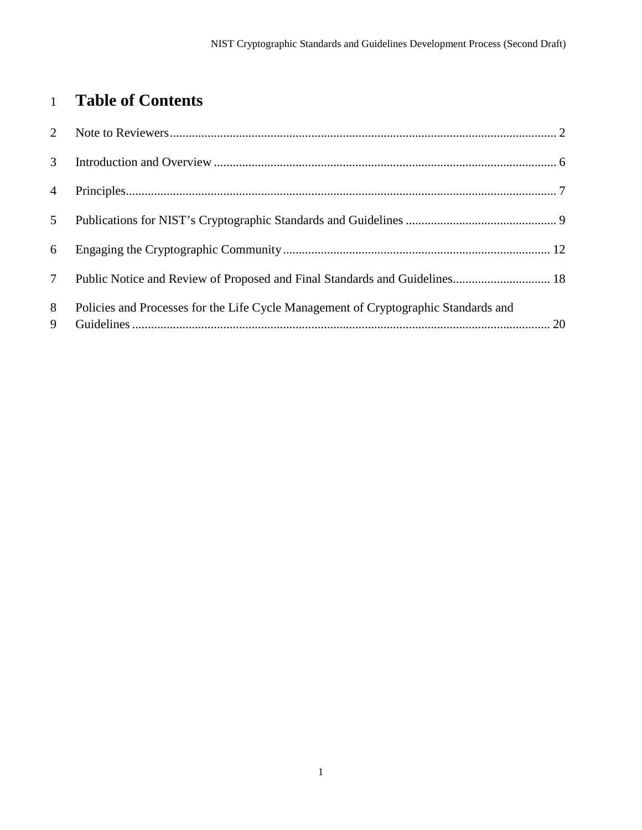# **Table of Contents**

| $\mathfrak{Z}$  |                                                                                     |  |
|-----------------|-------------------------------------------------------------------------------------|--|
| $\overline{4}$  |                                                                                     |  |
| 5 <sup>5</sup>  |                                                                                     |  |
| 6               |                                                                                     |  |
| $7\overline{ }$ | Public Notice and Review of Proposed and Final Standards and Guidelines 18          |  |
| 8<br>9          | Policies and Processes for the Life Cycle Management of Cryptographic Standards and |  |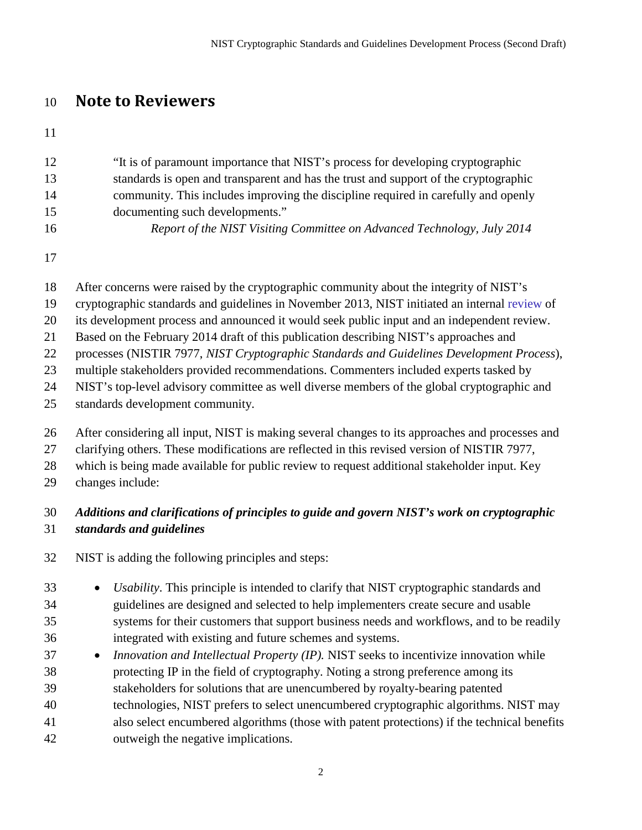# **Note to Reviewers**

| 12 | "It is of paramount importance that NIST's process for developing cryptographic      |
|----|--------------------------------------------------------------------------------------|
| 13 | standards is open and transparent and has the trust and support of the cryptographic |
| 14 | community. This includes improving the discipline required in carefully and openly   |
| 15 | documenting such developments."                                                      |
| 16 | Report of the NIST Visiting Committee on Advanced Technology, July 2014              |

- After concerns were raised by the cryptographic community about the integrity of NIST's
- cryptographic standards and guidelines in November 2013, NIST initiated an internal [review](http://csrc.nist.gov/groups/ST/crypto-review/) of
- its development process and announced it would seek public input and an independent review.
- Based on the February 2014 draft of this publication describing NIST's approaches and
- processes (NISTIR 7977, *NIST Cryptographic Standards and Guidelines Development Process*),
- multiple stakeholders provided recommendations. Commenters included experts tasked by
- NIST's top-level advisory committee as well diverse members of the global cryptographic and
- standards development community.
- After considering all input, NIST is making several changes to its approaches and processes and
- clarifying others. These modifications are reflected in this revised version of NISTIR 7977,
- which is being made available for public review to request additional stakeholder input. Key
- changes include:

# *Additions and clarifications of principles to guide and govern NIST's work on cryptographic standards and guidelines*

- NIST is adding the following principles and steps:
- *Usability*. This principle is intended to clarify that NIST cryptographic standards and guidelines are designed and selected to help implementers create secure and usable systems for their customers that support business needs and workflows, and to be readily integrated with existing and future schemes and systems.
- *Innovation and Intellectual Property (IP).* NIST seeks to incentivize innovation while protecting IP in the field of cryptography. Noting a strong preference among its stakeholders for solutions that are unencumbered by royalty-bearing patented technologies, NIST prefers to select unencumbered cryptographic algorithms. NIST may also select encumbered algorithms (those with patent protections) if the technical benefits outweigh the negative implications.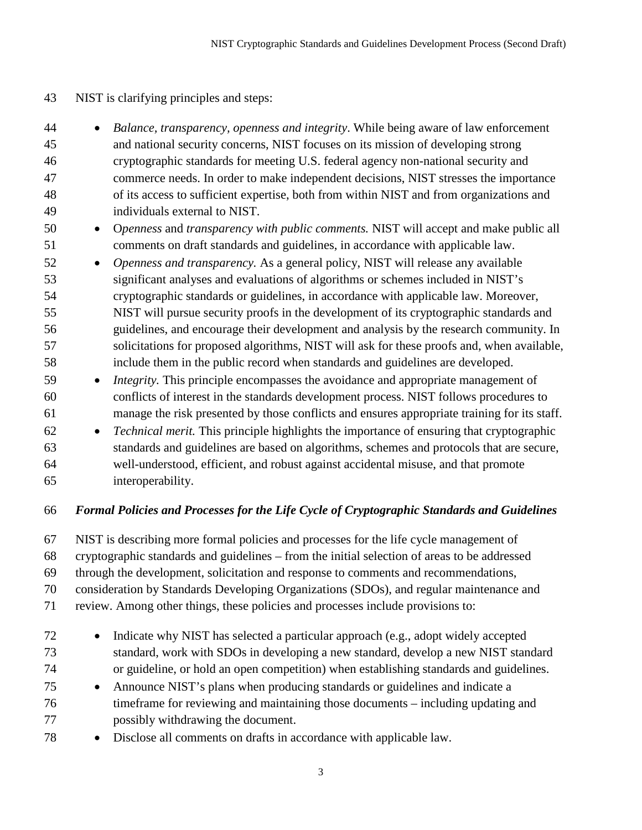- NIST is clarifying principles and steps:
- *Balance, transparency, openness and integrity*. While being aware of law enforcement and national security concerns, NIST focuses on its mission of developing strong cryptographic standards for meeting U.S. federal agency non-national security and commerce needs. In order to make independent decisions, NIST stresses the importance of its access to sufficient expertise, both from within NIST and from organizations and individuals external to NIST.
- O*penness* and *transparency with public comments.* NIST will accept and make public all comments on draft standards and guidelines, in accordance with applicable law.
- *Openness and transparency.* As a general policy, NIST will release any available significant analyses and evaluations of algorithms or schemes included in NIST's cryptographic standards or guidelines, in accordance with applicable law. Moreover, NIST will pursue security proofs in the development of its cryptographic standards and guidelines, and encourage their development and analysis by the research community. In solicitations for proposed algorithms, NIST will ask for these proofs and, when available, include them in the public record when standards and guidelines are developed.
- *Integrity.* This principle encompasses the avoidance and appropriate management of conflicts of interest in the standards development process. NIST follows procedures to manage the risk presented by those conflicts and ensures appropriate training for its staff.
- *Technical merit.* This principle highlights the importance of ensuring that cryptographic standards and guidelines are based on algorithms, schemes and protocols that are secure, well-understood, efficient, and robust against accidental misuse, and that promote interoperability.

### *Formal Policies and Processes for the Life Cycle of Cryptographic Standards and Guidelines*

NIST is describing more formal policies and processes for the life cycle management of

cryptographic standards and guidelines – from the initial selection of areas to be addressed

through the development, solicitation and response to comments and recommendations,

consideration by Standards Developing Organizations (SDOs), and regular maintenance and

- review. Among other things, these policies and processes include provisions to:
- Indicate why NIST has selected a particular approach (e.g., adopt widely accepted standard, work with SDOs in developing a new standard, develop a new NIST standard or guideline, or hold an open competition) when establishing standards and guidelines.
- Announce NIST's plans when producing standards or guidelines and indicate a timeframe for reviewing and maintaining those documents – including updating and possibly withdrawing the document.
- Disclose all comments on drafts in accordance with applicable law.
	-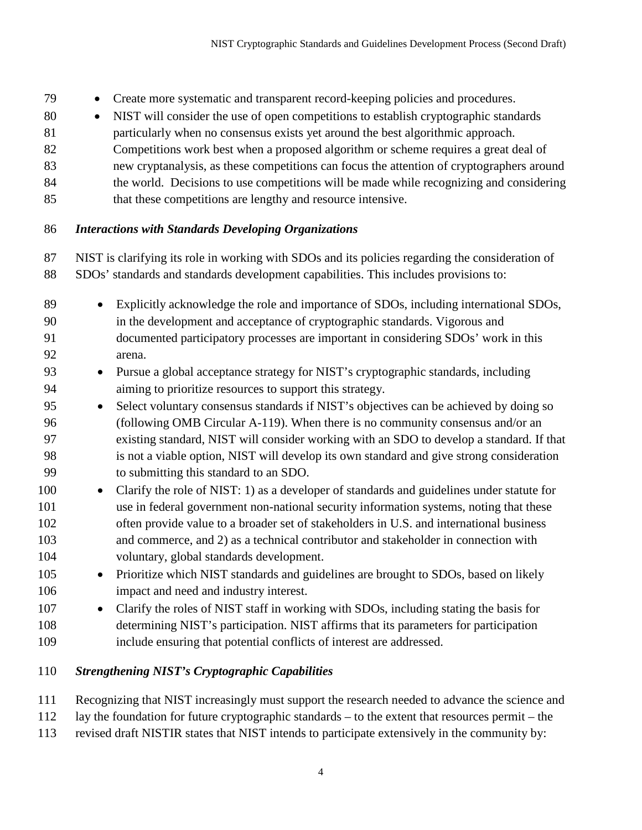- Create more systematic and transparent record-keeping policies and procedures.
- NIST will consider the use of open competitions to establish cryptographic standards
- particularly when no consensus exists yet around the best algorithmic approach.
- Competitions work best when a proposed algorithm or scheme requires a great deal of
- new cryptanalysis, as these competitions can focus the attention of cryptographers around
- 84 the world. Decisions to use competitions will be made while recognizing and considering
- 85 that these competitions are lengthy and resource intensive.

#### *Interactions with Standards Developing Organizations*

- NIST is clarifying its role in working with SDOs and its policies regarding the consideration of
- SDOs' standards and standards development capabilities. This includes provisions to:
- Explicitly acknowledge the role and importance of SDOs, including international SDOs, in the development and acceptance of cryptographic standards. Vigorous and documented participatory processes are important in considering SDOs' work in this arena.
- Pursue a global acceptance strategy for NIST's cryptographic standards, including aiming to prioritize resources to support this strategy.
- Select voluntary consensus standards if NIST's objectives can be achieved by doing so (following OMB Circular A-119). When there is no community consensus and/or an existing standard, NIST will consider working with an SDO to develop a standard. If that is not a viable option, NIST will develop its own standard and give strong consideration to submitting this standard to an SDO.
- 100 Clarify the role of NIST: 1) as a developer of standards and guidelines under statute for use in federal government non-national security information systems, noting that these often provide value to a broader set of stakeholders in U.S. and international business and commerce, and 2) as a technical contributor and stakeholder in connection with voluntary, global standards development.
- Prioritize which NIST standards and guidelines are brought to SDOs, based on likely impact and need and industry interest.
- Clarify the roles of NIST staff in working with SDOs, including stating the basis for determining NIST's participation. NIST affirms that its parameters for participation include ensuring that potential conflicts of interest are addressed.

### *Strengthening NIST's Cryptographic Capabilities*

- Recognizing that NIST increasingly must support the research needed to advance the science and
- lay the foundation for future cryptographic standards to the extent that resources permit the
- revised draft NISTIR states that NIST intends to participate extensively in the community by: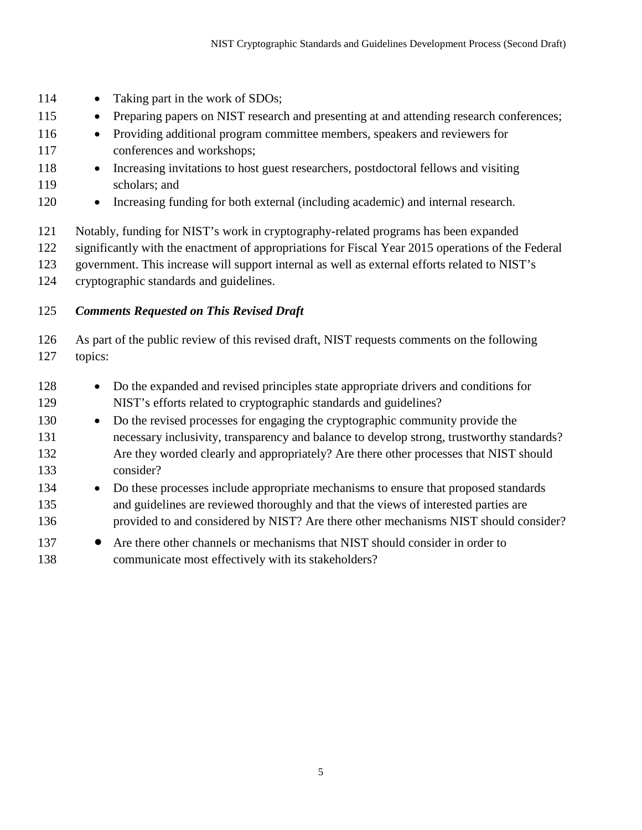- 114 Taking part in the work of SDOs;
- 115 Preparing papers on NIST research and presenting at and attending research conferences;
- Providing additional program committee members, speakers and reviewers for conferences and workshops;
- Increasing invitations to host guest researchers, postdoctoral fellows and visiting scholars; and
- Increasing funding for both external (including academic) and internal research.
- Notably, funding for NIST's work in cryptography-related programs has been expanded
- significantly with the enactment of appropriations for Fiscal Year 2015 operations of the Federal
- government. This increase will support internal as well as external efforts related to NIST's
- cryptographic standards and guidelines.

#### *Comments Requested on This Revised Draft*

 As part of the public review of this revised draft, NIST requests comments on the following topics:

- Do the expanded and revised principles state appropriate drivers and conditions for NIST's efforts related to cryptographic standards and guidelines?
- Do the revised processes for engaging the cryptographic community provide the necessary inclusivity, transparency and balance to develop strong, trustworthy standards? Are they worded clearly and appropriately? Are there other processes that NIST should consider?
- Do these processes include appropriate mechanisms to ensure that proposed standards and guidelines are reviewed thoroughly and that the views of interested parties are provided to and considered by NIST? Are there other mechanisms NIST should consider?
- 137 Are there other channels or mechanisms that NIST should consider in order to communicate most effectively with its stakeholders?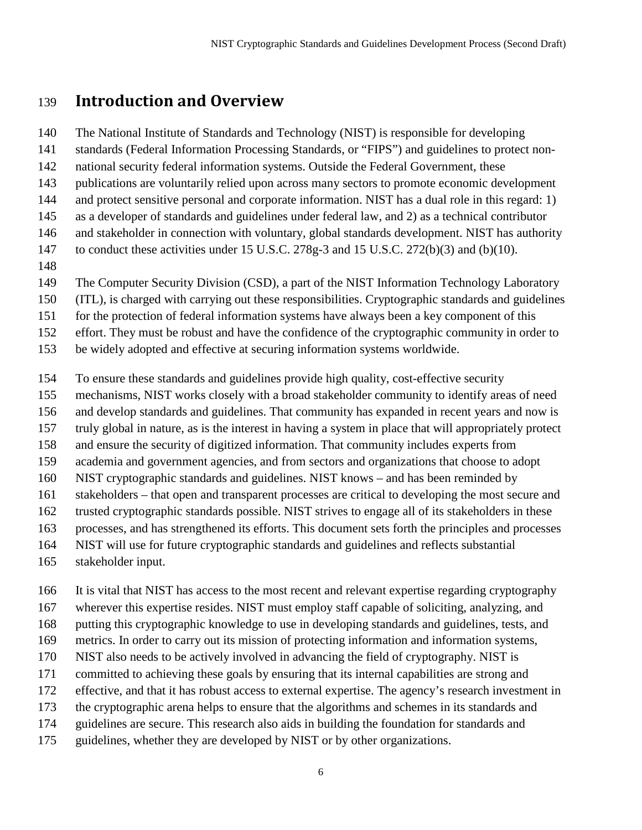# **Introduction and Overview**

The National Institute of Standards and Technology (NIST) is responsible for developing

standards (Federal Information Processing Standards, or "FIPS") and guidelines to protect non-

national security federal information systems. Outside the Federal Government, these

publications are voluntarily relied upon across many sectors to promote economic development

and protect sensitive personal and corporate information. NIST has a dual role in this regard: 1)

as a developer of standards and guidelines under federal law, and 2) as a technical contributor

and stakeholder in connection with voluntary, global standards development. NIST has authority

to conduct these activities under 15 U.S.C. 278g-3 and 15 U.S.C. 272(b)(3) and (b)(10).

The Computer Security Division (CSD), a part of the NIST Information Technology Laboratory

(ITL), is charged with carrying out these responsibilities. Cryptographic standards and guidelines

for the protection of federal information systems have always been a key component of this

effort. They must be robust and have the confidence of the cryptographic community in order to

be widely adopted and effective at securing information systems worldwide.

To ensure these standards and guidelines provide high quality, cost-effective security

mechanisms, NIST works closely with a broad stakeholder community to identify areas of need

and develop standards and guidelines. That community has expanded in recent years and now is

truly global in nature, as is the interest in having a system in place that will appropriately protect

and ensure the security of digitized information. That community includes experts from

academia and government agencies, and from sectors and organizations that choose to adopt

NIST cryptographic standards and guidelines. NIST knows – and has been reminded by

stakeholders – that open and transparent processes are critical to developing the most secure and

trusted cryptographic standards possible. NIST strives to engage all of its stakeholders in these

processes, and has strengthened its efforts. This document sets forth the principles and processes

NIST will use for future cryptographic standards and guidelines and reflects substantial

stakeholder input.

It is vital that NIST has access to the most recent and relevant expertise regarding cryptography

wherever this expertise resides. NIST must employ staff capable of soliciting, analyzing, and

putting this cryptographic knowledge to use in developing standards and guidelines, tests, and

metrics. In order to carry out its mission of protecting information and information systems,

NIST also needs to be actively involved in advancing the field of cryptography. NIST is

committed to achieving these goals by ensuring that its internal capabilities are strong and

effective, and that it has robust access to external expertise. The agency's research investment in

the cryptographic arena helps to ensure that the algorithms and schemes in its standards and

guidelines are secure. This research also aids in building the foundation for standards and

guidelines, whether they are developed by NIST or by other organizations.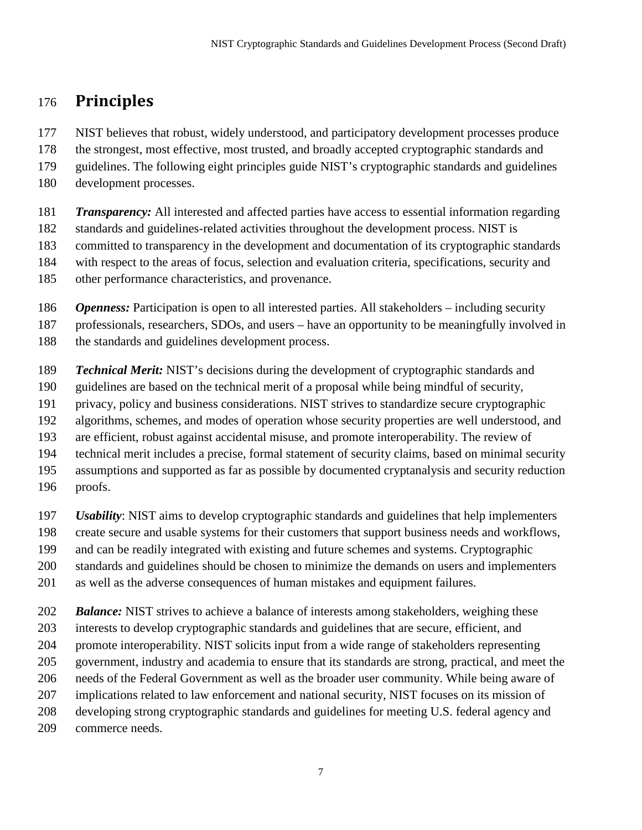# **Principles**

NIST believes that robust, widely understood, and participatory development processes produce

the strongest, most effective, most trusted, and broadly accepted cryptographic standards and

guidelines. The following eight principles guide NIST's cryptographic standards and guidelines

development processes.

 *Transparency:* All interested and affected parties have access to essential information regarding standards and guidelines-related activities throughout the development process. NIST is committed to transparency in the development and documentation of its cryptographic standards with respect to the areas of focus, selection and evaluation criteria, specifications, security and

other performance characteristics, and provenance.

*Openness:* Participation is open to all interested parties. All stakeholders – including security

professionals, researchers, SDOs, and users – have an opportunity to be meaningfully involved in

- 188 the standards and guidelines development process.
- *Technical Merit:* NIST's decisions during the development of cryptographic standards and
- guidelines are based on the technical merit of a proposal while being mindful of security,
- privacy, policy and business considerations. NIST strives to standardize secure cryptographic
- algorithms, schemes, and modes of operation whose security properties are well understood, and
- are efficient, robust against accidental misuse, and promote interoperability. The review of
- technical merit includes a precise, formal statement of security claims, based on minimal security
- assumptions and supported as far as possible by documented cryptanalysis and security reduction
- proofs.
- *Usability*: NIST aims to develop cryptographic standards and guidelines that help implementers
- create secure and usable systems for their customers that support business needs and workflows,
- and can be readily integrated with existing and future schemes and systems. Cryptographic
- standards and guidelines should be chosen to minimize the demands on users and implementers
- as well as the adverse consequences of human mistakes and equipment failures.

*Balance:* NIST strives to achieve a balance of interests among stakeholders, weighing these

interests to develop cryptographic standards and guidelines that are secure, efficient, and

promote interoperability. NIST solicits input from a wide range of stakeholders representing

government, industry and academia to ensure that its standards are strong, practical, and meet the

needs of the Federal Government as well as the broader user community. While being aware of

implications related to law enforcement and national security, NIST focuses on its mission of

- developing strong cryptographic standards and guidelines for meeting U.S. federal agency and
- commerce needs.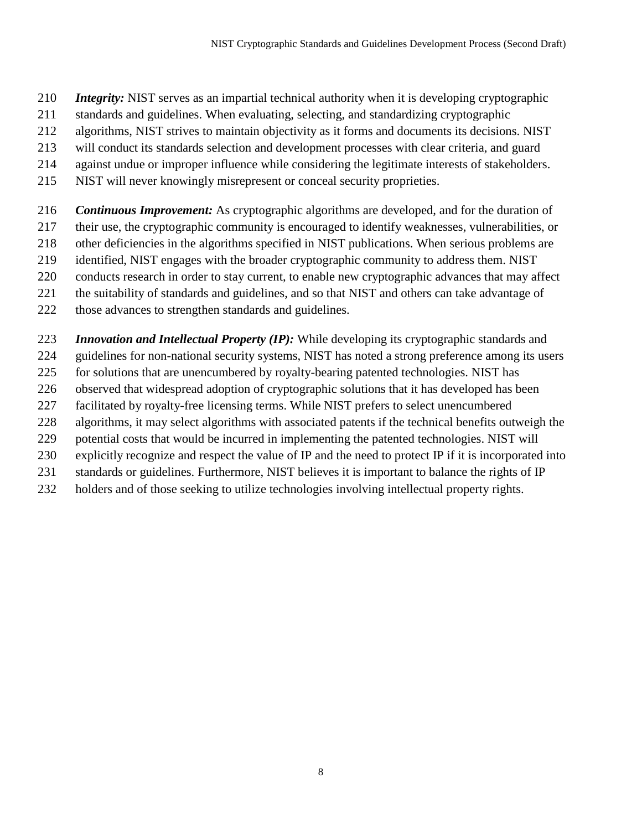- *Integrity:* NIST serves as an impartial technical authority when it is developing cryptographic
- standards and guidelines. When evaluating, selecting, and standardizing cryptographic
- algorithms, NIST strives to maintain objectivity as it forms and documents its decisions. NIST
- will conduct its standards selection and development processes with clear criteria, and guard
- against undue or improper influence while considering the legitimate interests of stakeholders.
- NIST will never knowingly misrepresent or conceal security proprieties.
- *Continuous Improvement:* As cryptographic algorithms are developed, and for the duration of
- their use, the cryptographic community is encouraged to identify weaknesses, vulnerabilities, or
- other deficiencies in the algorithms specified in NIST publications. When serious problems are
- identified, NIST engages with the broader cryptographic community to address them. NIST
- conducts research in order to stay current, to enable new cryptographic advances that may affect
- the suitability of standards and guidelines, and so that NIST and others can take advantage of
- those advances to strengthen standards and guidelines.
- *Innovation and Intellectual Property (IP):* While developing its cryptographic standards and
- guidelines for non-national security systems, NIST has noted a strong preference among its users
- for solutions that are unencumbered by royalty-bearing patented technologies. NIST has
- observed that widespread adoption of cryptographic solutions that it has developed has been
- facilitated by royalty-free licensing terms. While NIST prefers to select unencumbered
- algorithms, it may select algorithms with associated patents if the technical benefits outweigh the
- potential costs that would be incurred in implementing the patented technologies. NIST will
- explicitly recognize and respect the value of IP and the need to protect IP if it is incorporated into
- standards or guidelines. Furthermore, NIST believes it is important to balance the rights of IP
- holders and of those seeking to utilize technologies involving intellectual property rights.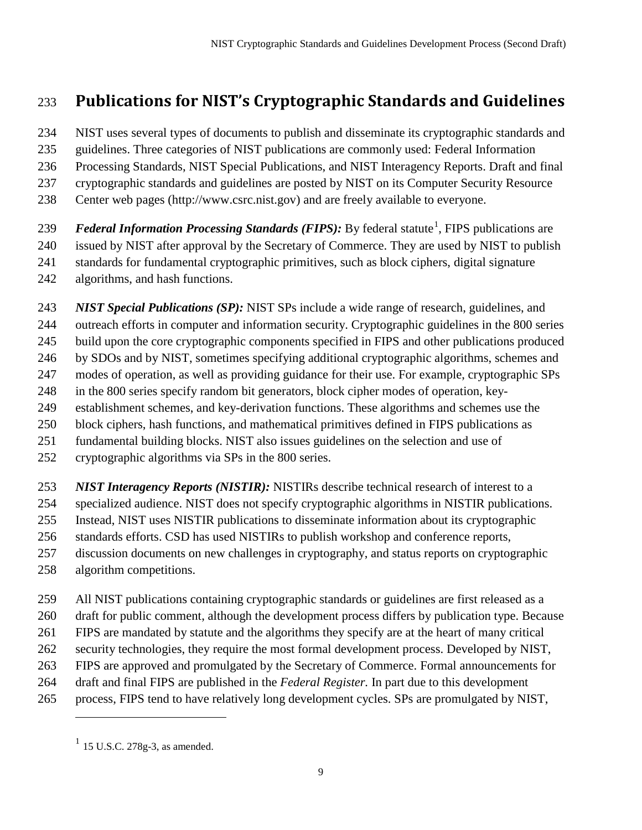# **Publications for NIST's Cryptographic Standards and Guidelines**

NIST uses several types of documents to publish and disseminate its cryptographic standards and

guidelines. Three categories of NIST publications are commonly used: Federal Information

 Processing Standards, NIST Special Publications, and NIST Interagency Reports. Draft and final cryptographic standards and guidelines are posted by NIST on its Computer Security Resource

Center web pages (http://www.csrc.nist.gov) and are freely available to everyone.

*Federal Information Processing Standards (FIPS)*: By federal statute<sup>[1](#page-14-0)</sup>, FIPS publications are issued by NIST after approval by the Secretary of Commerce. They are used by NIST to publish standards for fundamental cryptographic primitives, such as block ciphers, digital signature algorithms, and hash functions.

 *NIST Special Publications (SP):* NIST SPs include a wide range of research, guidelines, and outreach efforts in computer and information security. Cryptographic guidelines in the 800 series build upon the core cryptographic components specified in FIPS and other publications produced by SDOs and by NIST, sometimes specifying additional cryptographic algorithms, schemes and modes of operation, as well as providing guidance for their use. For example, cryptographic SPs in the 800 series specify random bit generators, block cipher modes of operation, key- establishment schemes, and key-derivation functions. These algorithms and schemes use the block ciphers, hash functions, and mathematical primitives defined in FIPS publications as fundamental building blocks. NIST also issues guidelines on the selection and use of cryptographic algorithms via SPs in the 800 series.

*NIST Interagency Reports (NISTIR):* NISTIRs describe technical research of interest to a

 specialized audience. NIST does not specify cryptographic algorithms in NISTIR publications. Instead, NIST uses NISTIR publications to disseminate information about its cryptographic

standards efforts. CSD has used NISTIRs to publish workshop and conference reports,

discussion documents on new challenges in cryptography, and status reports on cryptographic

algorithm competitions.

 $\overline{a}$ 

All NIST publications containing cryptographic standards or guidelines are first released as a

draft for public comment, although the development process differs by publication type. Because

FIPS are mandated by statute and the algorithms they specify are at the heart of many critical

security technologies, they require the most formal development process. Developed by NIST,

- FIPS are approved and promulgated by the Secretary of Commerce. Formal announcements for
- draft and final FIPS are published in the *Federal Register.* In part due to this development
- <span id="page-14-0"></span>process, FIPS tend to have relatively long development cycles. SPs are promulgated by NIST,

 $^{1}$  15 U.S.C. 278g-3, as amended.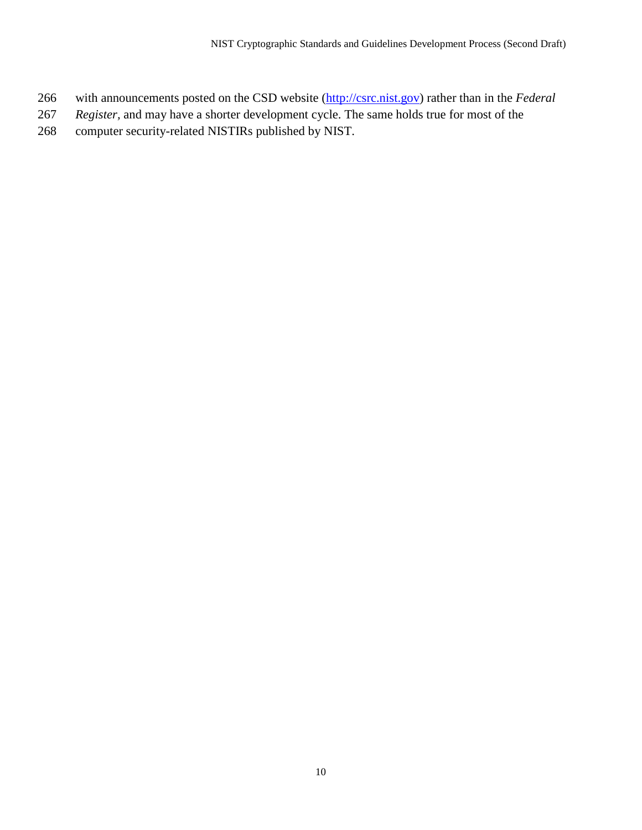- with announcements posted on the CSD website [\(http://csrc.nist.gov\)](http://csrc.nist.gov/) rather than in the *Federal*
- *Register,* and may have a shorter development cycle. The same holds true for most of the
- computer security-related NISTIRs published by NIST.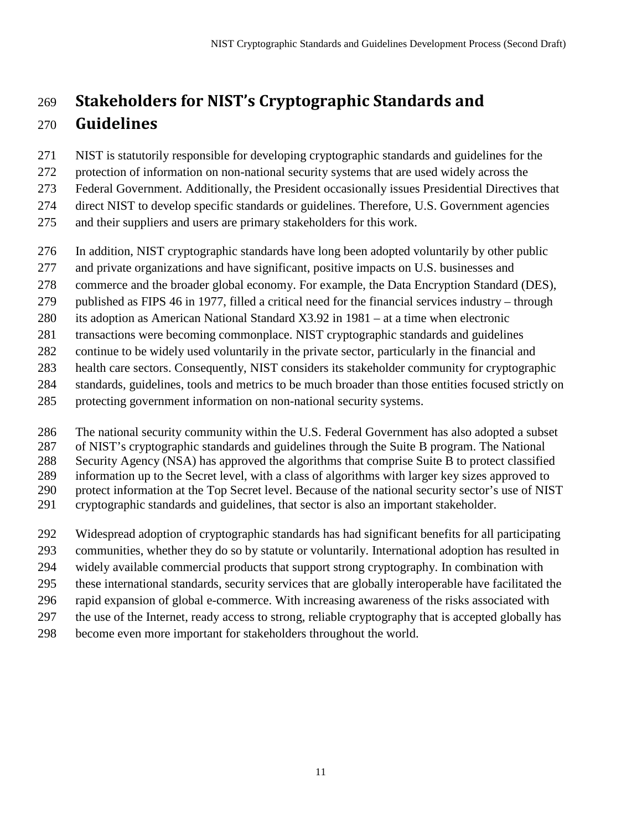# **Stakeholders for NIST's Cryptographic Standards and Guidelines**

NIST is statutorily responsible for developing cryptographic standards and guidelines for the

protection of information on non-national security systems that are used widely across the

Federal Government. Additionally, the President occasionally issues Presidential Directives that

direct NIST to develop specific standards or guidelines. Therefore, U.S. Government agencies

and their suppliers and users are primary stakeholders for this work.

- In addition, NIST cryptographic standards have long been adopted voluntarily by other public
- and private organizations and have significant, positive impacts on U.S. businesses and
- commerce and the broader global economy. For example, the Data Encryption Standard (DES),
- published as FIPS 46 in 1977, filled a critical need for the financial services industry through
- its adoption as American National Standard X3.92 in 1981 at a time when electronic
- transactions were becoming commonplace. NIST cryptographic standards and guidelines

continue to be widely used voluntarily in the private sector, particularly in the financial and

health care sectors. Consequently, NIST considers its stakeholder community for cryptographic

- standards, guidelines, tools and metrics to be much broader than those entities focused strictly on
- protecting government information on non-national security systems.

The national security community within the U.S. Federal Government has also adopted a subset

of NIST's cryptographic standards and guidelines through the Suite B program. The National

Security Agency (NSA) has approved the algorithms that comprise Suite B to protect classified

information up to the Secret level, with a class of algorithms with larger key sizes approved to

protect information at the Top Secret level. Because of the national security sector's use of NIST

cryptographic standards and guidelines, that sector is also an important stakeholder.

Widespread adoption of cryptographic standards has had significant benefits for all participating

communities, whether they do so by statute or voluntarily. International adoption has resulted in

widely available commercial products that support strong cryptography. In combination with

these international standards, security services that are globally interoperable have facilitated the

rapid expansion of global e-commerce. With increasing awareness of the risks associated with

- the use of the Internet, ready access to strong, reliable cryptography that is accepted globally has
- become even more important for stakeholders throughout the world.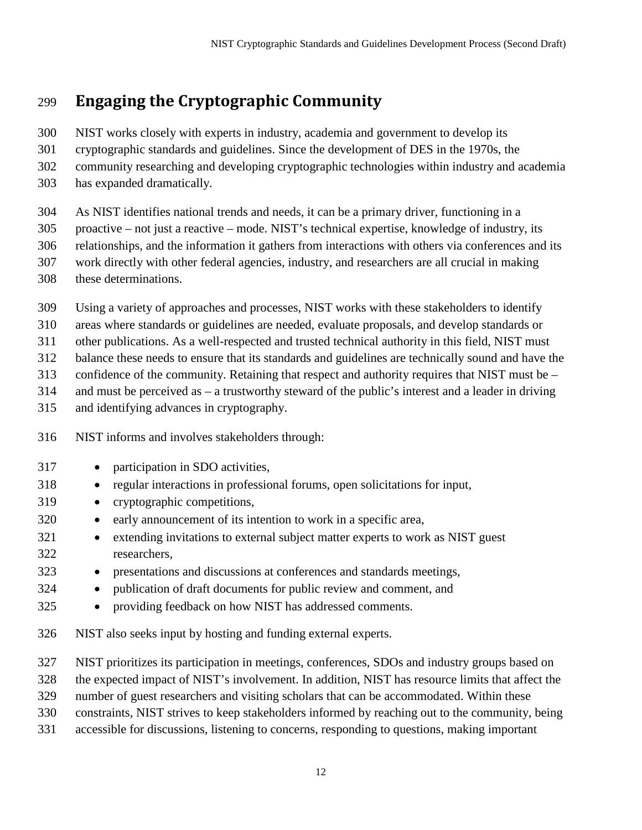# **Engaging the Cryptographic Community**

- NIST works closely with experts in industry, academia and government to develop its
- cryptographic standards and guidelines. Since the development of DES in the 1970s, the
- community researching and developing cryptographic technologies within industry and academia
- has expanded dramatically.
- As NIST identifies national trends and needs, it can be a primary driver, functioning in a
- proactive not just a reactive mode. NIST's technical expertise, knowledge of industry, its relationships, and the information it gathers from interactions with others via conferences and its
- work directly with other federal agencies, industry, and researchers are all crucial in making
- these determinations.
- Using a variety of approaches and processes, NIST works with these stakeholders to identify
- areas where standards or guidelines are needed, evaluate proposals, and develop standards or
- other publications. As a well-respected and trusted technical authority in this field, NIST must
- balance these needs to ensure that its standards and guidelines are technically sound and have the
- confidence of the community. Retaining that respect and authority requires that NIST must be –
- and must be perceived as a trustworthy steward of the public's interest and a leader in driving
- and identifying advances in cryptography.
- NIST informs and involves stakeholders through:
- 317 participation in SDO activities,
- regular interactions in professional forums, open solicitations for input,
- cryptographic competitions,
- early announcement of its intention to work in a specific area,
- extending invitations to external subject matter experts to work as NIST guest researchers,
- presentations and discussions at conferences and standards meetings,
- publication of draft documents for public review and comment, and
- providing feedback on how NIST has addressed comments.
- NIST also seeks input by hosting and funding external experts.
- NIST prioritizes its participation in meetings, conferences, SDOs and industry groups based on
- the expected impact of NIST's involvement. In addition, NIST has resource limits that affect the
- number of guest researchers and visiting scholars that can be accommodated. Within these
- constraints, NIST strives to keep stakeholders informed by reaching out to the community, being
- accessible for discussions, listening to concerns, responding to questions, making important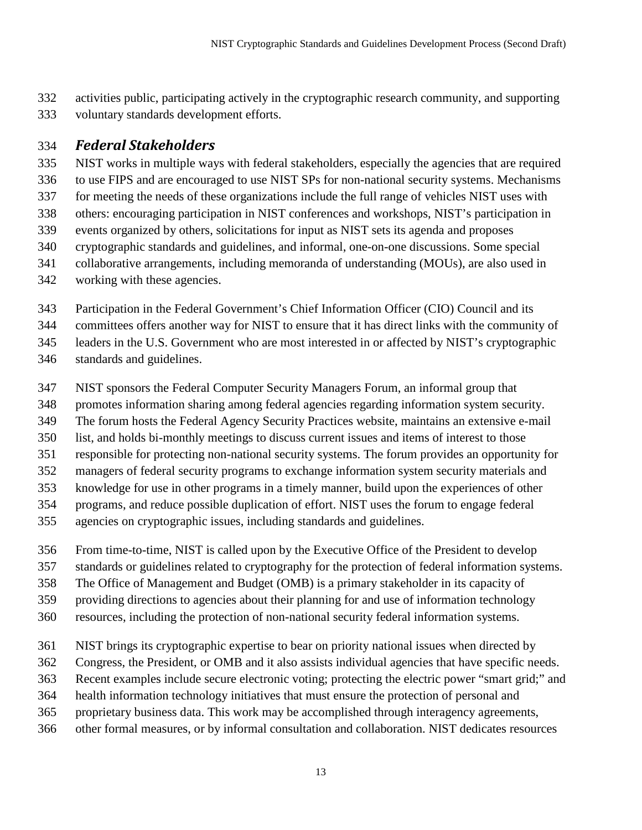activities public, participating actively in the cryptographic research community, and supporting voluntary standards development efforts.

# *Federal Stakeholders*

 NIST works in multiple ways with federal stakeholders, especially the agencies that are required to use FIPS and are encouraged to use NIST SPs for non-national security systems. Mechanisms for meeting the needs of these organizations include the full range of vehicles NIST uses with others: encouraging participation in NIST conferences and workshops, NIST's participation in events organized by others, solicitations for input as NIST sets its agenda and proposes cryptographic standards and guidelines, and informal, one-on-one discussions. Some special collaborative arrangements, including memoranda of understanding (MOUs), are also used in working with these agencies.

Participation in the Federal Government's Chief Information Officer (CIO) Council and its

committees offers another way for NIST to ensure that it has direct links with the community of

leaders in the U.S. Government who are most interested in or affected by NIST's cryptographic

standards and guidelines.

- NIST sponsors the Federal Computer Security Managers Forum, an informal group that
- promotes information sharing among federal agencies regarding information system security.
- The forum hosts the Federal Agency Security Practices website, maintains an extensive e-mail
- list, and holds bi-monthly meetings to discuss current issues and items of interest to those
- responsible for protecting non-national security systems. The forum provides an opportunity for
- managers of federal security programs to exchange information system security materials and
- knowledge for use in other programs in a timely manner, build upon the experiences of other
- programs, and reduce possible duplication of effort. NIST uses the forum to engage federal
- agencies on cryptographic issues, including standards and guidelines.
- From time-to-time, NIST is called upon by the Executive Office of the President to develop
- standards or guidelines related to cryptography for the protection of federal information systems.
- The Office of Management and Budget (OMB) is a primary stakeholder in its capacity of
- providing directions to agencies about their planning for and use of information technology
- resources, including the protection of non-national security federal information systems.
- NIST brings its cryptographic expertise to bear on priority national issues when directed by
- Congress, the President, or OMB and it also assists individual agencies that have specific needs.
- Recent examples include secure electronic voting; protecting the electric power "smart grid;" and
- health information technology initiatives that must ensure the protection of personal and
- proprietary business data. This work may be accomplished through interagency agreements,
- other formal measures, or by informal consultation and collaboration. NIST dedicates resources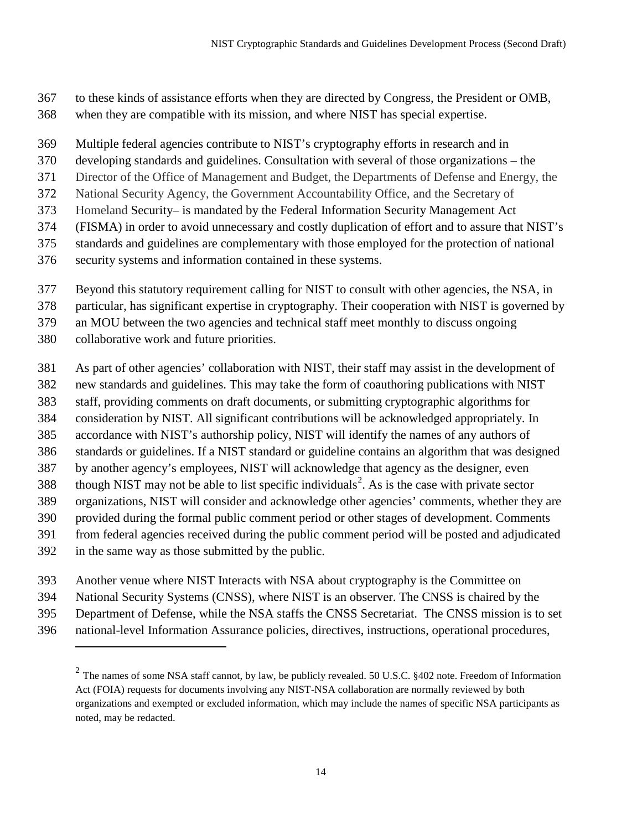- to these kinds of assistance efforts when they are directed by Congress, the President or OMB,
- when they are compatible with its mission, and where NIST has special expertise.
- Multiple federal agencies contribute to NIST's cryptography efforts in research and in
- developing standards and guidelines. Consultation with several of those organizations the
- Director of the Office of Management and Budget, the Departments of Defense and Energy, the
- National Security Agency, the Government Accountability Office, and the Secretary of
- Homeland Security– is mandated by the Federal Information Security Management Act
- (FISMA) in order to avoid unnecessary and costly duplication of effort and to assure that NIST's
- standards and guidelines are complementary with those employed for the protection of national
- security systems and information contained in these systems.
- Beyond this statutory requirement calling for NIST to consult with other agencies, the NSA, in
- particular, has significant expertise in cryptography. Their cooperation with NIST is governed by
- an MOU between the two agencies and technical staff meet monthly to discuss ongoing
- collaborative work and future priorities.
- As part of other agencies' collaboration with NIST, their staff may assist in the development of
- new standards and guidelines. This may take the form of coauthoring publications with NIST
- staff, providing comments on draft documents, or submitting cryptographic algorithms for
- consideration by NIST. All significant contributions will be acknowledged appropriately. In
- accordance with NIST's authorship policy, NIST will identify the names of any authors of
- standards or guidelines. If a NIST standard or guideline contains an algorithm that was designed by another agency's employees, NIST will acknowledge that agency as the designer, even
- 388 though NIST may not be able to list specific individuals<sup>[2](#page-19-0)</sup>. As is the case with private sector
- organizations, NIST will consider and acknowledge other agencies' comments, whether they are
- provided during the formal public comment period or other stages of development. Comments
- from federal agencies received during the public comment period will be posted and adjudicated
- in the same way as those submitted by the public.

- Another venue where NIST Interacts with NSA about cryptography is the Committee on
- National Security Systems (CNSS), where NIST is an observer. The CNSS is chaired by the
- Department of Defense, while the NSA staffs the CNSS Secretariat. The CNSS mission is to set
- <span id="page-19-0"></span>national-level Information Assurance policies, directives, instructions, operational procedures,

 The names of some NSA staff cannot, by law, be publicly revealed. 50 U.S.C. §402 note. Freedom of Information Act (FOIA) requests for documents involving any NIST-NSA collaboration are normally reviewed by both organizations and exempted or excluded information, which may include the names of specific NSA participants as noted, may be redacted.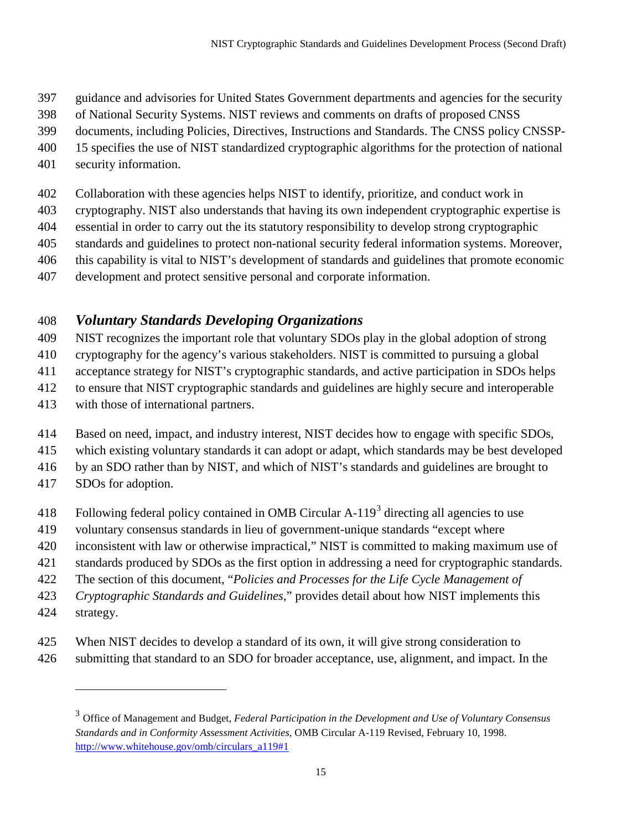- guidance and advisories for United States Government departments and agencies for the security
- of National Security Systems. NIST reviews and comments on drafts of proposed CNSS
- documents, including Policies, Directives, Instructions and Standards. The CNSS policy CNSSP-
- 15 specifies the use of NIST standardized cryptographic algorithms for the protection of national
- security information.
- Collaboration with these agencies helps NIST to identify, prioritize, and conduct work in
- cryptography. NIST also understands that having its own independent cryptographic expertise is
- essential in order to carry out the its statutory responsibility to develop strong cryptographic
- standards and guidelines to protect non-national security federal information systems. Moreover,
- this capability is vital to NIST's development of standards and guidelines that promote economic
- development and protect sensitive personal and corporate information.

# *Voluntary Standards Developing Organizations*

- NIST recognizes the important role that voluntary SDOs play in the global adoption of strong
- cryptography for the agency's various stakeholders. NIST is committed to pursuing a global
- acceptance strategy for NIST's cryptographic standards, and active participation in SDOs helps
- to ensure that NIST cryptographic standards and guidelines are highly secure and interoperable
- with those of international partners.
- Based on need, impact, and industry interest, NIST decides how to engage with specific SDOs,
- which existing voluntary standards it can adopt or adapt, which standards may be best developed
- by an SDO rather than by NIST, and which of NIST's standards and guidelines are brought to
- SDOs for adoption.
- 418 Following federal policy contained in OMB Circular A-119<sup>[3](#page-20-0)</sup> directing all agencies to use
- voluntary consensus standards in lieu of government-unique standards "except where
- inconsistent with law or otherwise impractical," NIST is committed to making maximum use of
- standards produced by SDOs as the first option in addressing a need for cryptographic standards.
- The section of this document, "*Policies and Processes for the Life Cycle Management of*
- *Cryptographic Standards and Guidelines*," provides detail about how NIST implements this
- strategy.

- When NIST decides to develop a standard of its own, it will give strong consideration to
- <span id="page-20-0"></span>submitting that standard to an SDO for broader acceptance, use, alignment, and impact. In the

 Office of Management and Budget, *Federal Participation in the Development and Use of Voluntary Consensus Standards and in Conformity Assessment Activities*, OMB Circular A-119 Revised, February 10, 1998. [http://www.whitehouse.gov/omb/circulars\\_a119#1](http://www.whitehouse.gov/omb/circulars_a119#1)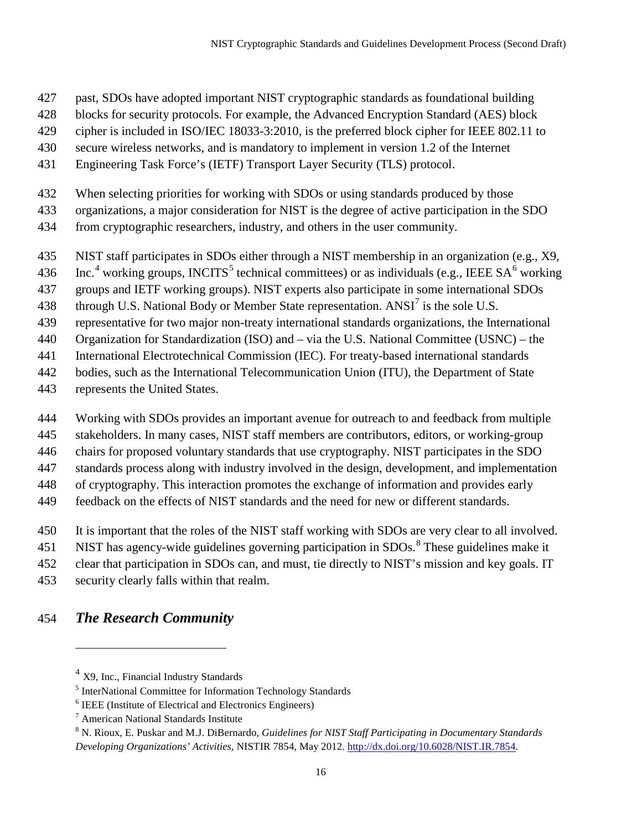- past, SDOs have adopted important NIST cryptographic standards as foundational building
- blocks for security protocols. For example, the Advanced Encryption Standard (AES) block
- cipher is included in ISO/IEC 18033-3:2010, is the preferred block cipher for IEEE 802.11 to
- secure wireless networks, and is mandatory to implement in version 1.2 of the Internet
- Engineering Task Force's (IETF) Transport Layer Security (TLS) protocol.
- When selecting priorities for working with SDOs or using standards produced by those
- organizations, a major consideration for NIST is the degree of active participation in the SDO
- from cryptographic researchers, industry, and others in the user community.
- NIST staff participates in SDOs either through a NIST membership in an organization (e.g., X9,
- $136$  Inc.<sup>[4](#page-21-0)</sup> working groups, INCITS<sup>[5](#page-21-1)</sup> technical committees) or as individuals (e.g., IEEE SA<sup>6</sup> working
- groups and IETF working groups). NIST experts also participate in some international SDOs
- 438 through U.S. National Body or Member State representation.  $ANSI<sup>7</sup>$  $ANSI<sup>7</sup>$  $ANSI<sup>7</sup>$  is the sole U.S.
- representative for two major non-treaty international standards organizations, the International
- Organization for Standardization (ISO) and via the U.S. National Committee (USNC) the
- International Electrotechnical Commission (IEC). For treaty-based international standards
- bodies, such as the International Telecommunication Union (ITU), the Department of State
- represents the United States.
- Working with SDOs provides an important avenue for outreach to and feedback from multiple
- stakeholders. In many cases, NIST staff members are contributors, editors, or working-group
- chairs for proposed voluntary standards that use cryptography. NIST participates in the SDO
- standards process along with industry involved in the design, development, and implementation
- of cryptography. This interaction promotes the exchange of information and provides early
- feedback on the effects of NIST standards and the need for new or different standards.
- It is important that the roles of the NIST staff working with SDOs are very clear to all involved.
- 451 NIST has agency-wide guidelines governing participation in SDOs. $\textsuperscript{8}$  $\textsuperscript{8}$  $\textsuperscript{8}$  These guidelines make it
- clear that participation in SDOs can, and must, tie directly to NIST's mission and key goals. IT
- security clearly falls within that realm.
- <span id="page-21-0"></span>*The Research Community*

X9, Inc., Financial Industry Standards

<span id="page-21-1"></span>InterNational Committee for Information Technology Standards

<span id="page-21-2"></span>IEEE (Institute of Electrical and Electronics Engineers)

<span id="page-21-3"></span>American National Standards Institute

<span id="page-21-4"></span> N. Rioux, E. Puskar and M.J. DiBernardo*, Guidelines for NIST Staff Participating in Documentary Standards Developing Organizations' Activities,* NISTIR 7854, May 2012[. http://dx.doi.org/10.6028/NIST.IR.7854.](http://dx.doi.org/10.6028/NIST.IR.7854)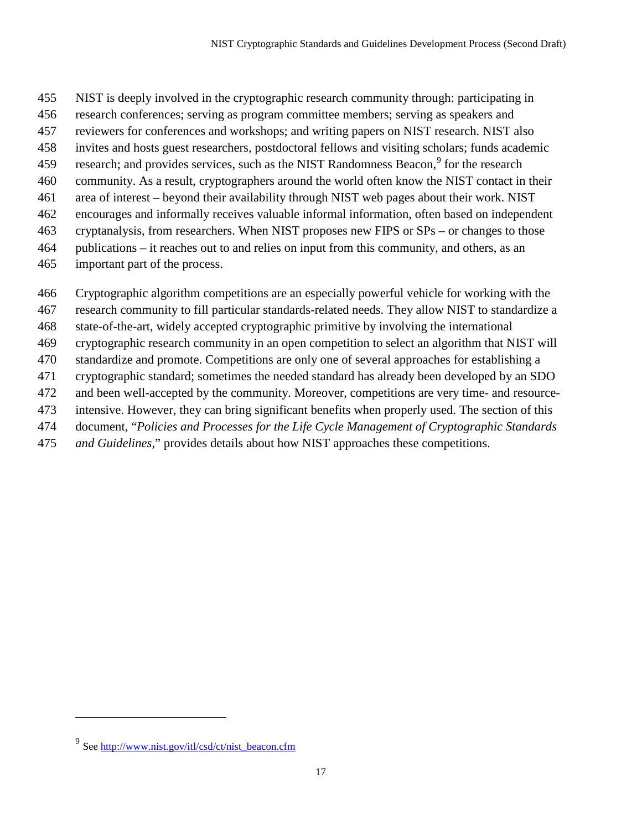- NIST is deeply involved in the cryptographic research community through: participating in
- research conferences; serving as program committee members; serving as speakers and
- reviewers for conferences and workshops; and writing papers on NIST research. NIST also
- invites and hosts guest researchers, postdoctoral fellows and visiting scholars; funds academic
- [9](#page-22-0) research; and provides services, such as the NIST Randomness Beacon,<sup>9</sup> for the research
- community. As a result, cryptographers around the world often know the NIST contact in their
- area of interest beyond their availability through NIST web pages about their work. NIST
- encourages and informally receives valuable informal information, often based on independent
- cryptanalysis, from researchers. When NIST proposes new FIPS or SPs or changes to those
- publications it reaches out to and relies on input from this community, and others, as an
- important part of the process.
- Cryptographic algorithm competitions are an especially powerful vehicle for working with the
- research community to fill particular standards-related needs. They allow NIST to standardize a
- state-of-the-art, widely accepted cryptographic primitive by involving the international
- cryptographic research community in an open competition to select an algorithm that NIST will
- standardize and promote. Competitions are only one of several approaches for establishing a
- cryptographic standard; sometimes the needed standard has already been developed by an SDO
- and been well-accepted by the community. Moreover, competitions are very time- and resource-
- intensive. However, they can bring significant benefits when properly used. The section of this
- document, "*Policies and Processes for the Life Cycle Management of Cryptographic Standards*
- *and Guidelines*," provides details about how NIST approaches these competitions.

<span id="page-22-0"></span><sup>&</sup>lt;sup>9</sup> See [http://www.nist.gov/itl/csd/ct/nist\\_beacon.cfm](http://www.nist.gov/itl/csd/ct/nist_beacon.cfm)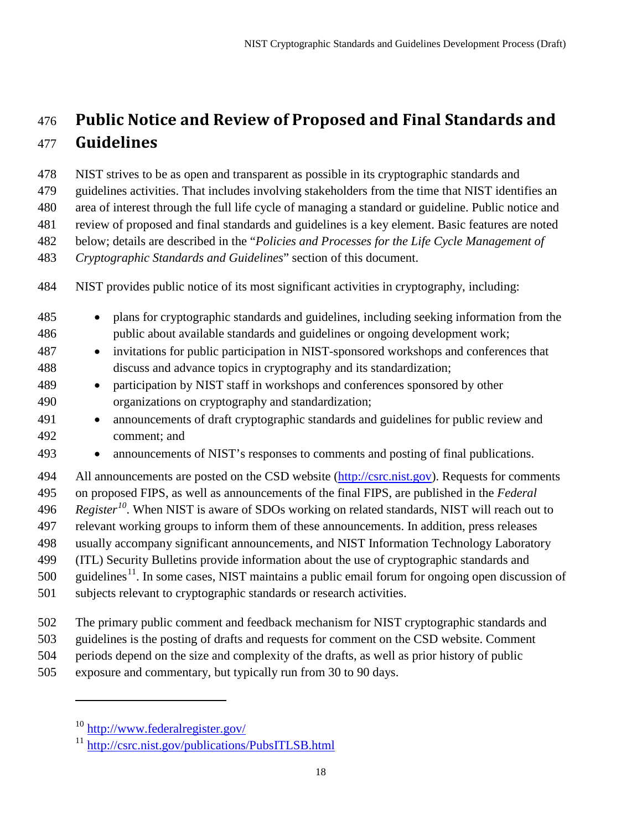# **Public Notice and Review of Proposed and Final Standards and Guidelines**

NIST strives to be as open and transparent as possible in its cryptographic standards and

guidelines activities. That includes involving stakeholders from the time that NIST identifies an

area of interest through the full life cycle of managing a standard or guideline. Public notice and

review of proposed and final standards and guidelines is a key element. Basic features are noted

below; details are described in the "*Policies and Processes for the Life Cycle Management of* 

*Cryptographic Standards and Guidelines*" section of this document.

- plans for cryptographic standards and guidelines, including seeking information from the public about available standards and guidelines or ongoing development work;
- invitations for public participation in NIST-sponsored workshops and conferences that discuss and advance topics in cryptography and its standardization;
- participation by NIST staff in workshops and conferences sponsored by other organizations on cryptography and standardization;
- announcements of draft cryptographic standards and guidelines for public review and comment; and
- announcements of NIST's responses to comments and posting of final publications.

 All announcements are posted on the CSD website [\(http://csrc.nist.gov\)](http://csrc.nist.gov/). Requests for comments on proposed FIPS, as well as announcements of the final FIPS, are published in the *Federal Register[10](#page-23-0)* . When NIST is aware of SDOs working on related standards, NIST will reach out to relevant working groups to inform them of these announcements. In addition, press releases usually accompany significant announcements, and NIST Information Technology Laboratory (ITL) Security Bulletins provide information about the use of cryptographic standards and guidelines<sup>[11](#page-23-1)</sup>. In some cases, NIST maintains a public email forum for ongoing open discussion of subjects relevant to cryptographic standards or research activities.

- The primary public comment and feedback mechanism for NIST cryptographic standards and
- guidelines is the posting of drafts and requests for comment on the CSD website. Comment
- periods depend on the size and complexity of the drafts, as well as prior history of public
- <span id="page-23-0"></span>exposure and commentary, but typically run from 30 to 90 days.

NIST provides public notice of its most significant activities in cryptography, including:

<http://www.federalregister.gov/>

<span id="page-23-1"></span><http://csrc.nist.gov/publications/PubsITLSB.html>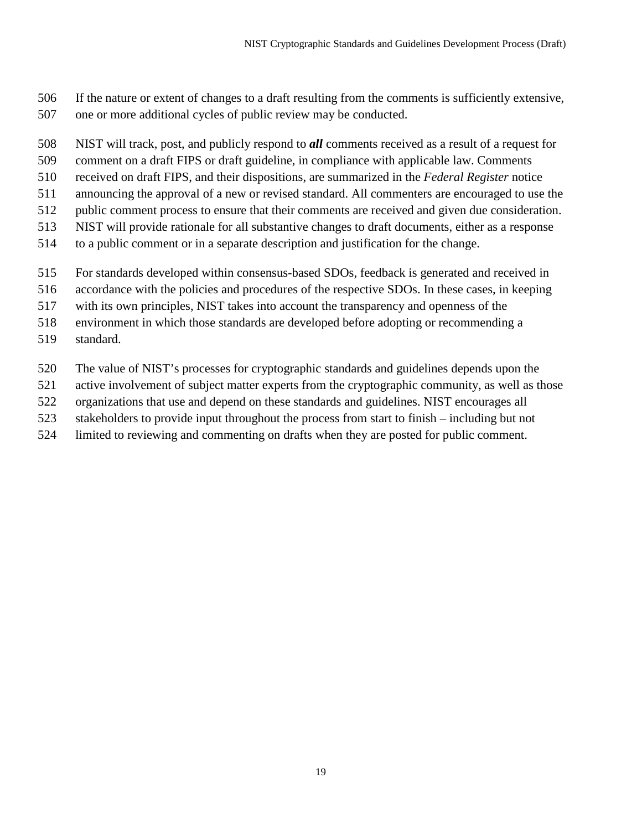- If the nature or extent of changes to a draft resulting from the comments is sufficiently extensive, one or more additional cycles of public review may be conducted.
- NIST will track, post, and publicly respond to *all* comments received as a result of a request for
- comment on a draft FIPS or draft guideline, in compliance with applicable law. Comments
- received on draft FIPS, and their dispositions, are summarized in the *Federal Register* notice
- announcing the approval of a new or revised standard. All commenters are encouraged to use the
- public comment process to ensure that their comments are received and given due consideration.
- NIST will provide rationale for all substantive changes to draft documents, either as a response
- to a public comment or in a separate description and justification for the change.
- For standards developed within consensus-based SDOs, feedback is generated and received in
- accordance with the policies and procedures of the respective SDOs. In these cases, in keeping
- with its own principles, NIST takes into account the transparency and openness of the
- environment in which those standards are developed before adopting or recommending a
- standard.
- The value of NIST's processes for cryptographic standards and guidelines depends upon the
- active involvement of subject matter experts from the cryptographic community, as well as those
- organizations that use and depend on these standards and guidelines. NIST encourages all
- stakeholders to provide input throughout the process from start to finish including but not
- limited to reviewing and commenting on drafts when they are posted for public comment.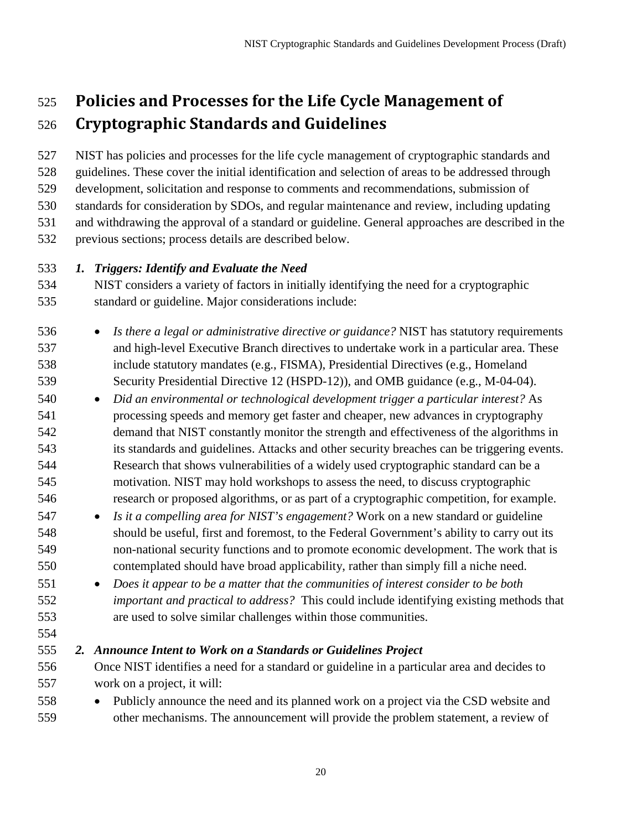# **Policies and Processes for the Life Cycle Management of Cryptographic Standards and Guidelines**

 NIST has policies and processes for the life cycle management of cryptographic standards and guidelines. These cover the initial identification and selection of areas to be addressed through development, solicitation and response to comments and recommendations, submission of standards for consideration by SDOs, and regular maintenance and review, including updating and withdrawing the approval of a standard or guideline. General approaches are described in the

previous sections; process details are described below.

### *1. Triggers: Identify and Evaluate the Need*

- NIST considers a variety of factors in initially identifying the need for a cryptographic standard or guideline. Major considerations include:
- *Is there a legal or administrative directive or guidance?* NIST has statutory requirements and high-level Executive Branch directives to undertake work in a particular area. These include statutory mandates (e.g., FISMA), Presidential Directives (e.g., Homeland Security Presidential Directive 12 (HSPD-12)), and OMB guidance (e.g., M-04-04).
- *Did an environmental or technological development trigger a particular interest?* As processing speeds and memory get faster and cheaper, new advances in cryptography demand that NIST constantly monitor the strength and effectiveness of the algorithms in its standards and guidelines. Attacks and other security breaches can be triggering events. Research that shows vulnerabilities of a widely used cryptographic standard can be a motivation. NIST may hold workshops to assess the need, to discuss cryptographic research or proposed algorithms, or as part of a cryptographic competition, for example.
- *Is it a compelling area for NIST's engagement?* Work on a new standard or guideline should be useful, first and foremost, to the Federal Government's ability to carry out its non-national security functions and to promote economic development. The work that is contemplated should have broad applicability, rather than simply fill a niche need.
- *Does it appear to be a matter that the communities of interest consider to be both important and practical to address?* This could include identifying existing methods that are used to solve similar challenges within those communities.
- 

#### *2. Announce Intent to Work on a Standards or Guidelines Project*

- Once NIST identifies a need for a standard or guideline in a particular area and decides to work on a project, it will:
- Publicly announce the need and its planned work on a project via the CSD website and other mechanisms. The announcement will provide the problem statement, a review of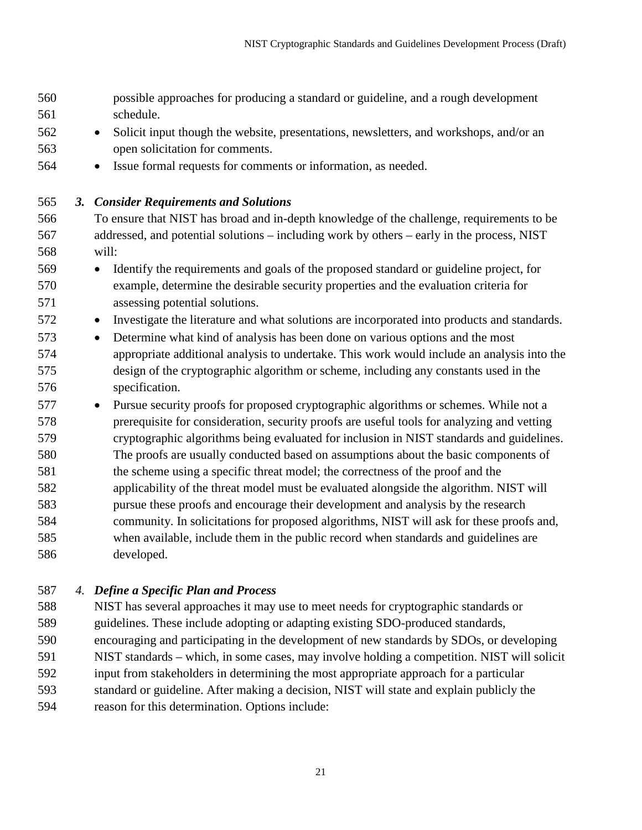| 560<br>561<br>562<br>563<br>564                                                                                                                       | possible approaches for producing a standard or guideline, and a rough development<br>schedule.<br>Solicit input though the website, presentations, newsletters, and workshops, and/or an<br>$\bullet$<br>open solicitation for comments.<br>Issue formal requests for comments or information, as needed.<br>$\bullet$                                                                                                                                                                                                                                                                                                                                                                                                                                                                                                                                                                                                                                                                                                                                                                                                                                                                                                                                                                                                                                                                                                                                                                                                                                                                                                                                                                                                                    |
|-------------------------------------------------------------------------------------------------------------------------------------------------------|--------------------------------------------------------------------------------------------------------------------------------------------------------------------------------------------------------------------------------------------------------------------------------------------------------------------------------------------------------------------------------------------------------------------------------------------------------------------------------------------------------------------------------------------------------------------------------------------------------------------------------------------------------------------------------------------------------------------------------------------------------------------------------------------------------------------------------------------------------------------------------------------------------------------------------------------------------------------------------------------------------------------------------------------------------------------------------------------------------------------------------------------------------------------------------------------------------------------------------------------------------------------------------------------------------------------------------------------------------------------------------------------------------------------------------------------------------------------------------------------------------------------------------------------------------------------------------------------------------------------------------------------------------------------------------------------------------------------------------------------|
| 565<br>3.<br>566<br>567<br>568<br>569<br>570<br>571<br>572<br>573<br>574<br>575<br>576<br>577<br>578<br>579<br>580<br>581<br>582<br>583<br>584<br>585 | <b>Consider Requirements and Solutions</b><br>To ensure that NIST has broad and in-depth knowledge of the challenge, requirements to be<br>addressed, and potential solutions - including work by others - early in the process, NIST<br>will:<br>Identify the requirements and goals of the proposed standard or guideline project, for<br>$\bullet$<br>example, determine the desirable security properties and the evaluation criteria for<br>assessing potential solutions.<br>Investigate the literature and what solutions are incorporated into products and standards.<br>$\bullet$<br>Determine what kind of analysis has been done on various options and the most<br>$\bullet$<br>appropriate additional analysis to undertake. This work would include an analysis into the<br>design of the cryptographic algorithm or scheme, including any constants used in the<br>specification.<br>Pursue security proofs for proposed cryptographic algorithms or schemes. While not a<br>$\bullet$<br>prerequisite for consideration, security proofs are useful tools for analyzing and vetting<br>cryptographic algorithms being evaluated for inclusion in NIST standards and guidelines.<br>The proofs are usually conducted based on assumptions about the basic components of<br>the scheme using a specific threat model; the correctness of the proof and the<br>applicability of the threat model must be evaluated alongside the algorithm. NIST will<br>pursue these proofs and encourage their development and analysis by the research<br>community. In solicitations for proposed algorithms, NIST will ask for these proofs and,<br>when available, include them in the public record when standards and guidelines are |
| 586                                                                                                                                                   | developed.                                                                                                                                                                                                                                                                                                                                                                                                                                                                                                                                                                                                                                                                                                                                                                                                                                                                                                                                                                                                                                                                                                                                                                                                                                                                                                                                                                                                                                                                                                                                                                                                                                                                                                                                 |

*4. Define a Specific Plan and Process*

 NIST has several approaches it may use to meet needs for cryptographic standards or guidelines. These include adopting or adapting existing SDO-produced standards, encouraging and participating in the development of new standards by SDOs, or developing NIST standards – which, in some cases, may involve holding a competition. NIST will solicit input from stakeholders in determining the most appropriate approach for a particular standard or guideline. After making a decision, NIST will state and explain publicly the reason for this determination. Options include: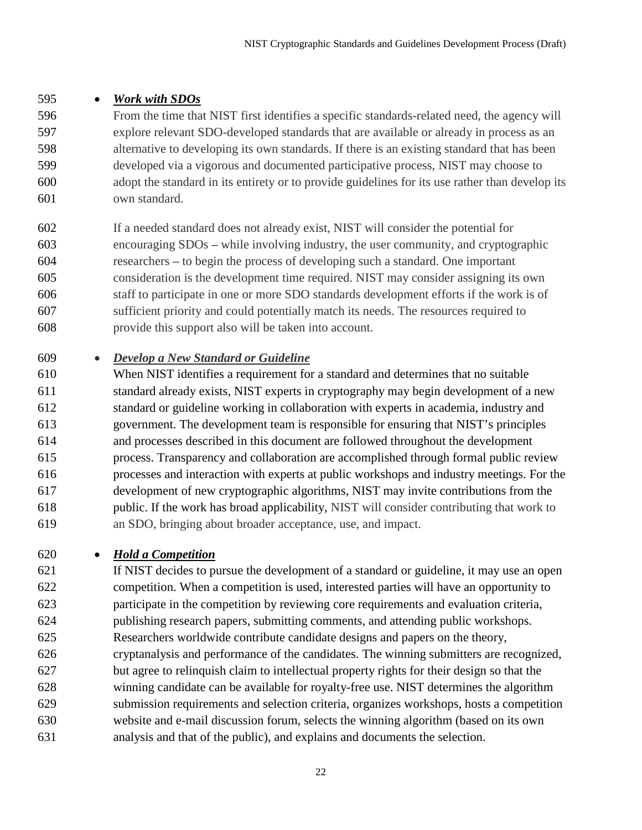### • *Work with SDOs*

 From the time that NIST first identifies a specific standards-related need, the agency will explore relevant SDO-developed standards that are available or already in process as an alternative to developing its own standards. If there is an existing standard that has been developed via a vigorous and documented participative process, NIST may choose to adopt the standard in its entirety or to provide guidelines for its use rather than develop its own standard.

 If a needed standard does not already exist, NIST will consider the potential for encouraging SDOs – while involving industry, the user community, and cryptographic researchers – to begin the process of developing such a standard. One important consideration is the development time required. NIST may consider assigning its own staff to participate in one or more SDO standards development efforts if the work is of sufficient priority and could potentially match its needs. The resources required to provide this support also will be taken into account.

### • *Develop a New Standard or Guideline*

 When NIST identifies a requirement for a standard and determines that no suitable standard already exists, NIST experts in cryptography may begin development of a new standard or guideline working in collaboration with experts in academia, industry and government. The development team is responsible for ensuring that NIST's principles and processes described in this document are followed throughout the development process. Transparency and collaboration are accomplished through formal public review processes and interaction with experts at public workshops and industry meetings. For the development of new cryptographic algorithms, NIST may invite contributions from the public. If the work has broad applicability, NIST will consider contributing that work to an SDO, bringing about broader acceptance, use, and impact.

• *Hold a Competition*

 If NIST decides to pursue the development of a standard or guideline, it may use an open competition. When a competition is used, interested parties will have an opportunity to participate in the competition by reviewing core requirements and evaluation criteria, publishing research papers, submitting comments, and attending public workshops. Researchers worldwide contribute candidate designs and papers on the theory, cryptanalysis and performance of the candidates. The winning submitters are recognized, but agree to relinquish claim to intellectual property rights for their design so that the winning candidate can be available for royalty-free use. NIST determines the algorithm submission requirements and selection criteria, organizes workshops, hosts a competition website and e-mail discussion forum, selects the winning algorithm (based on its own analysis and that of the public), and explains and documents the selection.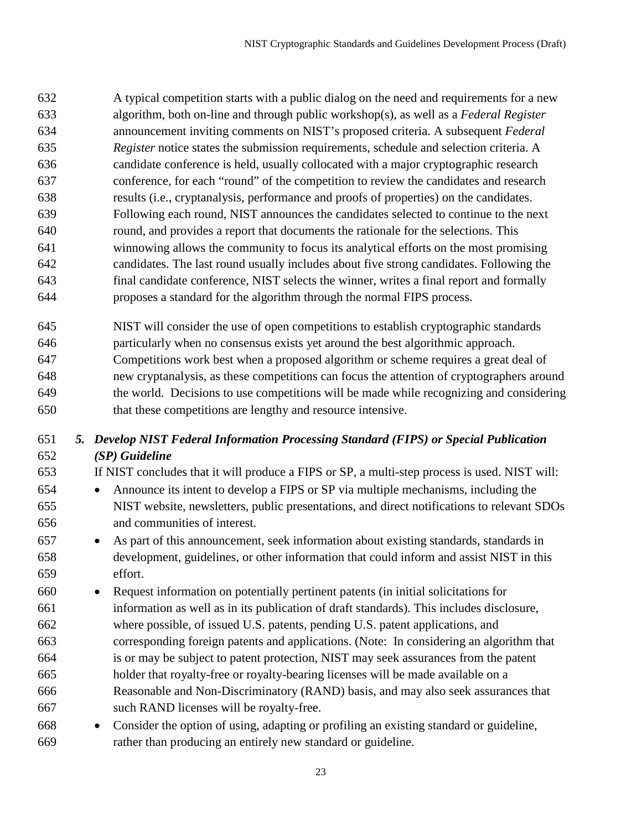A typical competition starts with a public dialog on the need and requirements for a new algorithm, both on-line and through public workshop(s), as well as a *Federal Register* announcement inviting comments on NIST's proposed criteria. A subsequent *Federal Register* notice states the submission requirements, schedule and selection criteria. A candidate conference is held, usually collocated with a major cryptographic research conference, for each "round" of the competition to review the candidates and research results (i.e., cryptanalysis, performance and proofs of properties) on the candidates. Following each round, NIST announces the candidates selected to continue to the next round, and provides a report that documents the rationale for the selections. This winnowing allows the community to focus its analytical efforts on the most promising candidates. The last round usually includes about five strong candidates. Following the final candidate conference, NIST selects the winner, writes a final report and formally proposes a standard for the algorithm through the normal FIPS process.

 NIST will consider the use of open competitions to establish cryptographic standards particularly when no consensus exists yet around the best algorithmic approach. Competitions work best when a proposed algorithm or scheme requires a great deal of new cryptanalysis, as these competitions can focus the attention of cryptographers around the world. Decisions to use competitions will be made while recognizing and considering that these competitions are lengthy and resource intensive.

# *5. Develop NIST Federal Information Processing Standard (FIPS) or Special Publication (SP) Guideline*

 If NIST concludes that it will produce a FIPS or SP, a multi-step process is used. NIST will: • Announce its intent to develop a FIPS or SP via multiple mechanisms, including the NIST website, newsletters, public presentations, and direct notifications to relevant SDOs and communities of interest.

- As part of this announcement, seek information about existing standards, standards in development, guidelines, or other information that could inform and assist NIST in this effort.
- Request information on potentially pertinent patents (in initial solicitations for information as well as in its publication of draft standards). This includes disclosure, where possible, of issued U.S. patents, pending U.S. patent applications, and corresponding foreign patents and applications. (Note: In considering an algorithm that is or may be subject to patent protection, NIST may seek assurances from the patent holder that royalty-free or royalty-bearing licenses will be made available on a Reasonable and Non-Discriminatory (RAND) basis, and may also seek assurances that such RAND licenses will be royalty-free.
- Consider the option of using, adapting or profiling an existing standard or guideline, rather than producing an entirely new standard or guideline.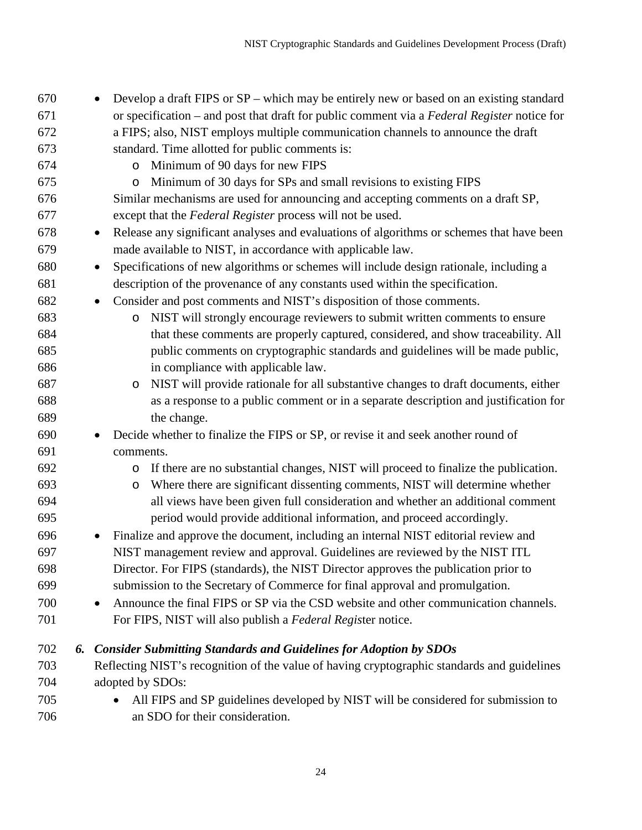| 670 |    | Develop a draft FIPS or SP – which may be entirely new or based on an existing standard               |
|-----|----|-------------------------------------------------------------------------------------------------------|
| 671 |    | or specification – and post that draft for public comment via a Federal Register notice for           |
| 672 |    | a FIPS; also, NIST employs multiple communication channels to announce the draft                      |
| 673 |    | standard. Time allotted for public comments is:                                                       |
| 674 |    | Minimum of 90 days for new FIPS<br>$\circ$                                                            |
| 675 |    | Minimum of 30 days for SPs and small revisions to existing FIPS<br>$\circ$                            |
| 676 |    | Similar mechanisms are used for announcing and accepting comments on a draft SP,                      |
| 677 |    | except that the Federal Register process will not be used.                                            |
| 678 |    | Release any significant analyses and evaluations of algorithms or schemes that have been<br>$\bullet$ |
| 679 |    | made available to NIST, in accordance with applicable law.                                            |
| 680 |    | Specifications of new algorithms or schemes will include design rationale, including a<br>$\bullet$   |
| 681 |    | description of the provenance of any constants used within the specification.                         |
| 682 |    | Consider and post comments and NIST's disposition of those comments.<br>$\bullet$                     |
| 683 |    | NIST will strongly encourage reviewers to submit written comments to ensure<br>$\circ$                |
| 684 |    | that these comments are properly captured, considered, and show traceability. All                     |
| 685 |    | public comments on cryptographic standards and guidelines will be made public,                        |
| 686 |    | in compliance with applicable law.                                                                    |
| 687 |    | NIST will provide rationale for all substantive changes to draft documents, either<br>O               |
| 688 |    | as a response to a public comment or in a separate description and justification for                  |
| 689 |    | the change.                                                                                           |
| 690 |    | Decide whether to finalize the FIPS or SP, or revise it and seek another round of<br>$\bullet$        |
| 691 |    | comments.                                                                                             |
| 692 |    | If there are no substantial changes, NIST will proceed to finalize the publication.<br>$\circ$        |
| 693 |    | Where there are significant dissenting comments, NIST will determine whether<br>O                     |
| 694 |    | all views have been given full consideration and whether an additional comment                        |
| 695 |    | period would provide additional information, and proceed accordingly.                                 |
| 696 |    | Finalize and approve the document, including an internal NIST editorial review and<br>$\bullet$       |
| 697 |    | NIST management review and approval. Guidelines are reviewed by the NIST ITL                          |
| 698 |    | Director. For FIPS (standards), the NIST Director approves the publication prior to                   |
| 699 |    | submission to the Secretary of Commerce for final approval and promulgation.                          |
| 700 |    | Announce the final FIPS or SP via the CSD website and other communication channels.<br>$\bullet$      |
| 701 |    | For FIPS, NIST will also publish a Federal Register notice.                                           |
| 702 | 6. | <b>Consider Submitting Standards and Guidelines for Adoption by SDOs</b>                              |
| 703 |    | Reflecting NIST's recognition of the value of having cryptographic standards and guidelines           |
| 704 |    | adopted by SDOs:                                                                                      |
| 705 |    | All FIPS and SP guidelines developed by NIST will be considered for submission to                     |
| 706 |    | an SDO for their consideration.                                                                       |